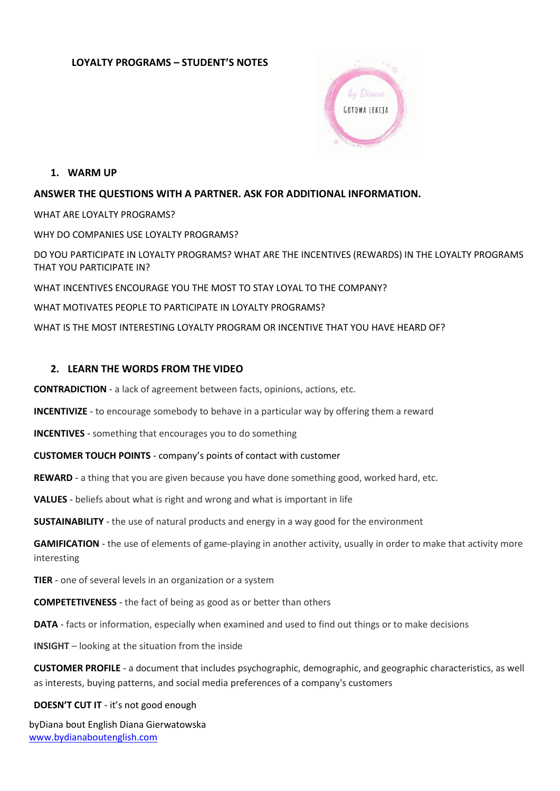## **LOYALTY PROGRAMS – STUDENT'S NOTES**



**1. WARM UP**

### **ANSWER THE QUESTIONS WITH A PARTNER. ASK FOR ADDITIONAL INFORMATION.**

WHAT ARE LOYALTY PROGRAMS? WHY DO COMPANIES USE LOYALTY PROGRAMS? DO YOU PARTICIPATE IN LOYALTY PROGRAMS? WHAT ARE THE INCENTIVES (REWARDS) IN THE LOYALTY PROGRAMS THAT YOU PARTICIPATE IN? WHAT INCENTIVES ENCOURAGE YOU THE MOST TO STAY LOYAL TO THE COMPANY? WHAT MOTIVATES PEOPLE TO PARTICIPATE IN LOYALTY PROGRAMS? WHAT IS THE MOST INTERESTING LOYALTY PROGRAM OR INCENTIVE THAT YOU HAVE HEARD OF?

### **2. LEARN THE WORDS FROM THE VIDEO**

**CONTRADICTION** - a lack of agreement between facts, opinions, actions, etc.

**INCENTIVIZE** - to encourage somebody to behave in a particular way by offering them a reward

**INCENTIVES** - something that encourages you to do something

**CUSTOMER TOUCH POINTS** - company's points of contact with customer

**REWARD** - a thing that you are given because you have done something good, worked hard, etc.

**VALUES** - beliefs about what is right and wrong and what is important in life

**SUSTAINABILITY** - the use of natural products and energy in a way good for the environment

**GAMIFICATION** - the use of elements of game-playing in another activity, usually in order to make that activity more interesting

**TIER** - one of several levels in an organization or a system

**COMPETETIVENESS** - the fact of being as good as or better than others

**DATA** - facts or information, especially when examined and used to find out things or to make decisions

**INSIGHT** – looking at the situation from the inside

**CUSTOMER PROFILE** - a document that includes psychographic, demographic, and geographic characteristics, as well as interests, buying patterns, and social media preferences of a company's customers

#### **DOESN'T CUT IT** - it's not good enough

byDiana bout English Diana Gierwatowska <www.bydianaboutenglish.com>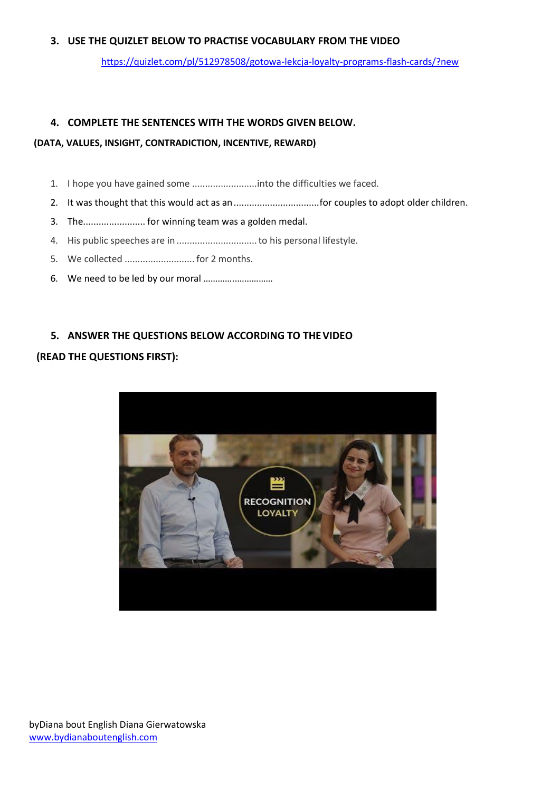### **3. USE THE QUIZLET BELOW TO PRACTISE VOCABULARY FROM THE VIDEO**

<https://quizlet.com/pl/512978508/gotowa-lekcja-loyalty-programs-flash-cards/?new>

#### **4. COMPLETE THE SENTENCES WITH THE WORDS GIVEN BELOW.**

#### **(DATA, VALUES, INSIGHT, CONTRADICTION, INCENTIVE, REWARD)**

- 1. I hope you have gained some .........................into the difficulties we faced.
- 2. It was thought that this would act as an.................................for couples to adopt older children.
- 3. The........................ for winning team was a golden medal.
- 4. His public speeches are in ...............................to his personal lifestyle.
- 5. We collected ........................... for 2 months.
- 6. We need to be led by our moral …………..……………

### **5. ANSWER THE QUESTIONS BELOW ACCORDING TO THEVIDEO**

#### **(READ THE QUESTIONS FIRST):**